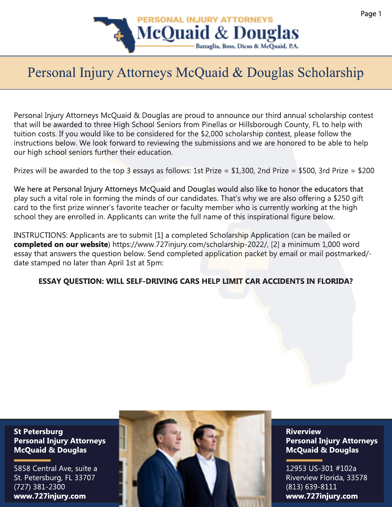

## Personal Injury Attorneys McQuaid & Douglas Scholarship

Personal Injury Attorneys McQuaid & Douglas are proud to announce our third annual scholarship contest that will be awarded to three High School Seniors from Pinellas or Hillsborough County, FL to help with tuition costs. If you would like to be considered for the \$2,000 scholarship contest, please follow the instructions below. We look forward to reviewing the submissions and we are honored to be able to help our high school seniors further their education.

Prizes will be awarded to the top 3 essays as follows: 1st Prize = \$1,300, 2nd Prize = \$500, 3rd Prize = \$200

We here at Personal Injury Attorneys McQuaid and Douglas would also like to honor the educators that play such a vital role in forming the minds of our candidates. That's why we are also offering a \$250 gift card to the first prize winner's favorite teacher or faculty member who is currently working at the high school they are enrolled in. Applicants can write the full name of this inspirational figure below.

INSTRUCTIONS: Applicants are to submit [1] a completed Scholarship Application (can be mailed or **completed on our website**) https://www.727injury.com/scholarship-2022/, [2] a minimum 1,000 word essay that answers the question below. Send completed application packet by email or mail postmarked/ date stamped no later than April 1st at 5pm:

**ESSAY QUESTION: WILL SELF-DRIVING CARS HELP LIMIT CAR ACCIDENTS IN FLORIDA?**

**St Petersburg Personal Injury Attorneys McQuaid & Douglas**

5858 Central Ave, suite a St. Petersburg, FL 33707 (727) 381-2300 **www.727injury.com**



**Riverview Personal Injury Attorneys McQuaid & Douglas**

12953 US-301 #102a Riverview Florida, 33578 (813) 639-8111 **www.727injury.com**